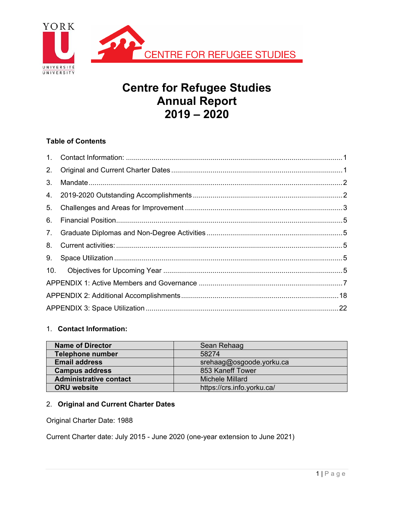

# **Centre for Refugee Studies Annual Report 2019 – 2020**

# **Table of Contents**

| 2.  |  |
|-----|--|
| 3.  |  |
|     |  |
| 5.  |  |
| 6.  |  |
| 7.  |  |
| 8.  |  |
| 9.  |  |
| 10. |  |
|     |  |
|     |  |
|     |  |

## 1. **Contact Information:**

| <b>Name of Director</b>       | Sean Rehaag                |
|-------------------------------|----------------------------|
| <b>Telephone number</b>       | 58274                      |
| <b>Email address</b>          | srehaag@osgoode.yorku.ca   |
| <b>Campus address</b>         | 853 Kaneff Tower           |
| <b>Administrative contact</b> | Michele Millard            |
| <b>ORU</b> website            | https://crs.info.yorku.ca/ |

# 2. **Original and Current Charter Dates**

Original Charter Date: 1988

Current Charter date: July 2015 - June 2020 (one-year extension to June 2021)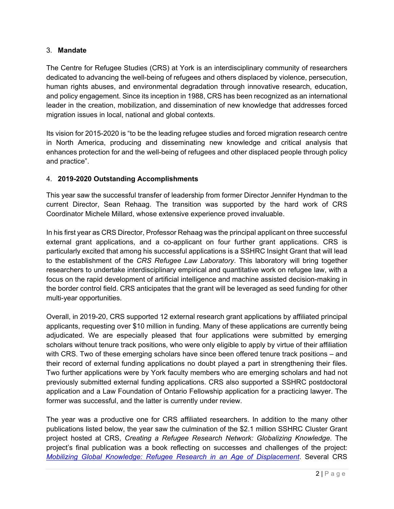#### 3. **Mandate**

The Centre for Refugee Studies (CRS) at York is an interdisciplinary community of researchers dedicated to advancing the well-being of refugees and others displaced by violence, persecution, human rights abuses, and environmental degradation through innovative research, education, and policy engagement. Since its inception in 1988, CRS has been recognized as an international leader in the creation, mobilization, and dissemination of new knowledge that addresses forced migration issues in local, national and global contexts.

Its vision for 2015-2020 is "to be the leading refugee studies and forced migration research centre in North America, producing and disseminating new knowledge and critical analysis that enhances protection for and the well-being of refugees and other displaced people through policy and practice".

## 4. **2019-2020 Outstanding Accomplishments**

This year saw the successful transfer of leadership from former Director Jennifer Hyndman to the current Director, Sean Rehaag. The transition was supported by the hard work of CRS Coordinator Michele Millard, whose extensive experience proved invaluable.

In his first year as CRS Director, Professor Rehaag was the principal applicant on three successful external grant applications, and a co-applicant on four further grant applications. CRS is particularly excited that among his successful applications is a SSHRC Insight Grant that will lead to the establishment of the *CRS Refugee Law Laboratory*. This laboratory will bring together researchers to undertake interdisciplinary empirical and quantitative work on refugee law, with a focus on the rapid development of artificial intelligence and machine assisted decision-making in the border control field. CRS anticipates that the grant will be leveraged as seed funding for other multi-year opportunities.

Overall, in 2019-20, CRS supported 12 external research grant applications by affiliated principal applicants, requesting over \$10 million in funding. Many of these applications are currently being adjudicated. We are especially pleased that four applications were submitted by emerging scholars without tenure track positions, who were only eligible to apply by virtue of their affiliation with CRS. Two of these emerging scholars have since been offered tenure track positions – and their record of external funding applications no doubt played a part in strengthening their files. Two further applications were by York faculty members who are emerging scholars and had not previously submitted external funding applications. CRS also supported a SSHRC postdoctoral application and a Law Foundation of Ontario Fellowship application for a practicing lawyer. The former was successful, and the latter is currently under review.

The year was a productive one for CRS affiliated researchers. In addition to the many other publications listed below, the year saw the culmination of the \$2.1 million SSHRC Cluster Grant project hosted at CRS, *Creating a Refugee Research Network: Globalizing Knowledge*. The project's final publication was a book reflecting on successes and challenges of the project: *Mobilizing Global Knowledge: Refugee Research in an Age of Displacement*. Several CRS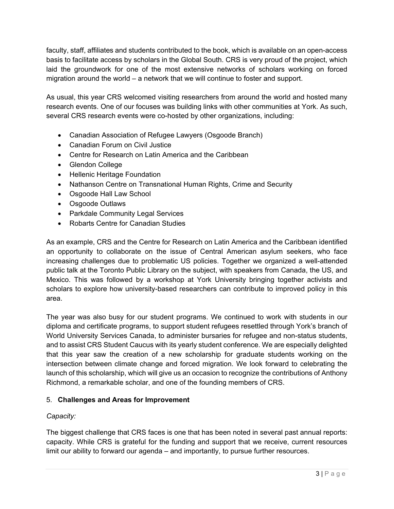faculty, staff, affiliates and students contributed to the book, which is available on an open-access basis to facilitate access by scholars in the Global South. CRS is very proud of the project, which laid the groundwork for one of the most extensive networks of scholars working on forced migration around the world – a network that we will continue to foster and support.

As usual, this year CRS welcomed visiting researchers from around the world and hosted many research events. One of our focuses was building links with other communities at York. As such, several CRS research events were co-hosted by other organizations, including:

- Canadian Association of Refugee Lawyers (Osgoode Branch)
- Canadian Forum on Civil Justice
- Centre for Research on Latin America and the Caribbean
- Glendon College
- Hellenic Heritage Foundation
- Nathanson Centre on Transnational Human Rights, Crime and Security
- Osgoode Hall Law School
- Osgoode Outlaws
- Parkdale Community Legal Services
- Robarts Centre for Canadian Studies

As an example, CRS and the Centre for Research on Latin America and the Caribbean identified an opportunity to collaborate on the issue of Central American asylum seekers, who face increasing challenges due to problematic US policies. Together we organized a well-attended public talk at the Toronto Public Library on the subject, with speakers from Canada, the US, and Mexico. This was followed by a workshop at York University bringing together activists and scholars to explore how university-based researchers can contribute to improved policy in this area.

The year was also busy for our student programs. We continued to work with students in our diploma and certificate programs, to support student refugees resettled through York's branch of World University Services Canada, to administer bursaries for refugee and non-status students, and to assist CRS Student Caucus with its yearly student conference. We are especially delighted that this year saw the creation of a new scholarship for graduate students working on the intersection between climate change and forced migration. We look forward to celebrating the launch of this scholarship, which will give us an occasion to recognize the contributions of Anthony Richmond, a remarkable scholar, and one of the founding members of CRS.

## 5. **Challenges and Areas for Improvement**

## *Capacity:*

The biggest challenge that CRS faces is one that has been noted in several past annual reports: capacity. While CRS is grateful for the funding and support that we receive, current resources limit our ability to forward our agenda – and importantly, to pursue further resources.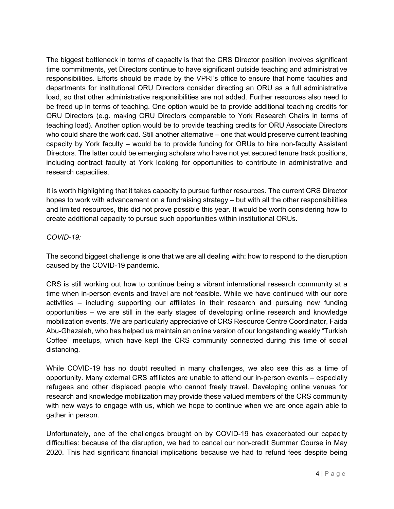The biggest bottleneck in terms of capacity is that the CRS Director position involves significant time commitments, yet Directors continue to have significant outside teaching and administrative responsibilities. Efforts should be made by the VPRI's office to ensure that home faculties and departments for institutional ORU Directors consider directing an ORU as a full administrative load, so that other administrative responsibilities are not added. Further resources also need to be freed up in terms of teaching. One option would be to provide additional teaching credits for ORU Directors (e.g. making ORU Directors comparable to York Research Chairs in terms of teaching load). Another option would be to provide teaching credits for ORU Associate Directors who could share the workload. Still another alternative – one that would preserve current teaching capacity by York faculty – would be to provide funding for ORUs to hire non-faculty Assistant Directors. The latter could be emerging scholars who have not yet secured tenure track positions, including contract faculty at York looking for opportunities to contribute in administrative and research capacities.

It is worth highlighting that it takes capacity to pursue further resources. The current CRS Director hopes to work with advancement on a fundraising strategy – but with all the other responsibilities and limited resources, this did not prove possible this year. It would be worth considering how to create additional capacity to pursue such opportunities within institutional ORUs.

## *COVID-19:*

The second biggest challenge is one that we are all dealing with: how to respond to the disruption caused by the COVID-19 pandemic.

CRS is still working out how to continue being a vibrant international research community at a time when in-person events and travel are not feasible. While we have continued with our core activities – including supporting our affiliates in their research and pursuing new funding opportunities – we are still in the early stages of developing online research and knowledge mobilization events. We are particularly appreciative of CRS Resource Centre Coordinator, Faida Abu-Ghazaleh, who has helped us maintain an online version of our longstanding weekly "Turkish Coffee" meetups, which have kept the CRS community connected during this time of social distancing.

While COVID-19 has no doubt resulted in many challenges, we also see this as a time of opportunity. Many external CRS affiliates are unable to attend our in-person events – especially refugees and other displaced people who cannot freely travel. Developing online venues for research and knowledge mobilization may provide these valued members of the CRS community with new ways to engage with us, which we hope to continue when we are once again able to gather in person.

Unfortunately, one of the challenges brought on by COVID-19 has exacerbated our capacity difficulties: because of the disruption, we had to cancel our non-credit Summer Course in May 2020. This had significant financial implications because we had to refund fees despite being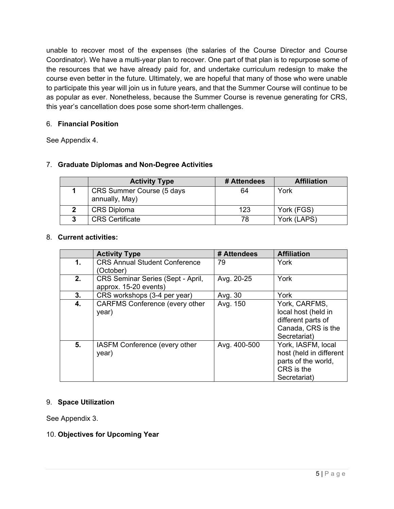unable to recover most of the expenses (the salaries of the Course Director and Course Coordinator). We have a multi-year plan to recover. One part of that plan is to repurpose some of the resources that we have already paid for, and undertake curriculum redesign to make the course even better in the future. Ultimately, we are hopeful that many of those who were unable to participate this year will join us in future years, and that the Summer Course will continue to be as popular as ever. Nonetheless, because the Summer Course is revenue generating for CRS, this year's cancellation does pose some short-term challenges.

## 6. **Financial Position**

See Appendix 4.

## 7. **Graduate Diplomas and Non-Degree Activities**

|   | <b>Activity Type</b>                        | # Attendees | <b>Affiliation</b> |
|---|---------------------------------------------|-------------|--------------------|
|   | CRS Summer Course (5 days<br>annually, May) | 64          | York               |
| 2 | <b>CRS Diploma</b>                          | 123         | York (FGS)         |
| 3 | <b>CRS Certificate</b>                      | 78          | York (LAPS)        |

#### 8. **Current activities:**

|    | <b>Activity Type</b>                  | # Attendees  | <b>Affiliation</b>      |
|----|---------------------------------------|--------------|-------------------------|
| 1. | <b>CRS Annual Student Conference</b>  | 79           | York                    |
|    | (October)                             |              |                         |
| 2. | CRS Seminar Series (Sept - April,     | Avg. 20-25   | York                    |
|    | approx. 15-20 events)                 |              |                         |
| 3. | CRS workshops (3-4 per year)          | Avg. 30      | York                    |
| 4. | <b>CARFMS Conference (every other</b> | Avg. 150     | York, CARFMS,           |
|    | year)                                 |              | local host (held in     |
|    |                                       |              | different parts of      |
|    |                                       |              | Canada, CRS is the      |
|    |                                       |              | Secretariat)            |
| 5. | IASFM Conference (every other         | Avg. 400-500 | York, IASFM, local      |
|    | year)                                 |              | host (held in different |
|    |                                       |              | parts of the world,     |
|    |                                       |              | CRS is the              |
|    |                                       |              | Secretariat)            |

#### 9. **Space Utilization**

See Appendix 3.

#### 10. **Objectives for Upcoming Year**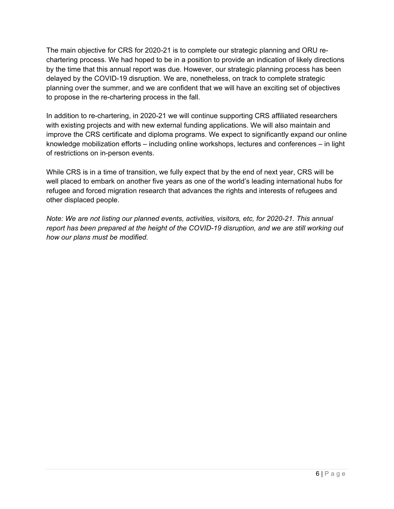The main objective for CRS for 2020-21 is to complete our strategic planning and ORU rechartering process. We had hoped to be in a position to provide an indication of likely directions by the time that this annual report was due. However, our strategic planning process has been delayed by the COVID-19 disruption. We are, nonetheless, on track to complete strategic planning over the summer, and we are confident that we will have an exciting set of objectives to propose in the re-chartering process in the fall.

In addition to re-chartering, in 2020-21 we will continue supporting CRS affiliated researchers with existing projects and with new external funding applications. We will also maintain and improve the CRS certificate and diploma programs. We expect to significantly expand our online knowledge mobilization efforts – including online workshops, lectures and conferences – in light of restrictions on in-person events.

While CRS is in a time of transition, we fully expect that by the end of next year, CRS will be well placed to embark on another five years as one of the world's leading international hubs for refugee and forced migration research that advances the rights and interests of refugees and other displaced people.

*Note: We are not listing our planned events, activities, visitors, etc, for 2020-21. This annual report has been prepared at the height of the COVID-19 disruption, and we are still working out how our plans must be modified.*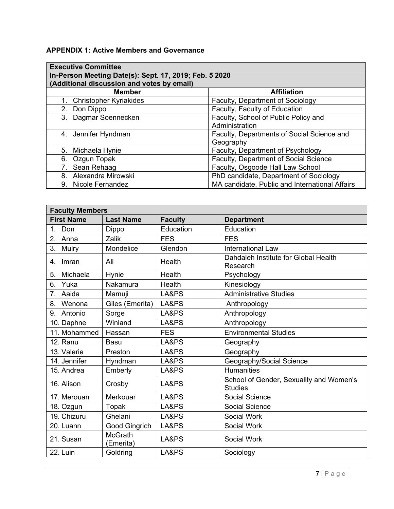# **APPENDIX 1: Active Members and Governance**

| <b>Executive Committee</b>                 |                                                        |  |  |  |  |
|--------------------------------------------|--------------------------------------------------------|--|--|--|--|
|                                            | In-Person Meeting Date(s): Sept. 17, 2019; Feb. 5 2020 |  |  |  |  |
| (Additional discussion and votes by email) |                                                        |  |  |  |  |
| <b>Member</b>                              | <b>Affiliation</b>                                     |  |  |  |  |
| <b>Christopher Kyriakides</b><br>1.        | Faculty, Department of Sociology                       |  |  |  |  |
| Don Dippo<br>2.                            | Faculty, Faculty of Education                          |  |  |  |  |
| 3. Dagmar Soennecken                       | Faculty, School of Public Policy and                   |  |  |  |  |
|                                            | Administration                                         |  |  |  |  |
| 4. Jennifer Hyndman                        | Faculty, Departments of Social Science and             |  |  |  |  |
|                                            | Geography                                              |  |  |  |  |
| Michaela Hynie<br>5.                       | Faculty, Department of Psychology                      |  |  |  |  |
| Ozgun Topak<br>6.                          | Faculty, Department of Social Science                  |  |  |  |  |
| Sean Rehaag<br>7.                          | Faculty, Osgoode Hall Law School                       |  |  |  |  |
| Alexandra Mirowski<br>8.                   | PhD candidate, Department of Sociology                 |  |  |  |  |
| 9. Nicole Fernandez                        | MA candidate, Public and International Affairs         |  |  |  |  |

| <b>Faculty Members</b>  |                      |                |                                                           |  |
|-------------------------|----------------------|----------------|-----------------------------------------------------------|--|
| <b>First Name</b>       | <b>Last Name</b>     | <b>Faculty</b> | <b>Department</b>                                         |  |
| $1_{-}$<br>Don          | Dippo                | Education      | Education                                                 |  |
| 2.<br>Anna              | Zalik                | <b>FES</b>     | <b>FES</b>                                                |  |
| 3.<br>Mulry             | Mondelice            | Glendon        | <b>International Law</b>                                  |  |
| Imran<br>4.             | Ali                  | Health         | Dahdaleh Institute for Global Health<br>Research          |  |
| 5.<br>Michaela          | Hynie                | Health         | Psychology                                                |  |
| Yuka<br>6.              | Nakamura             | Health         | Kinesiology                                               |  |
| 7 <sub>1</sub><br>Aaida | Mamuji               | LA&PS          | <b>Administrative Studies</b>                             |  |
| Wenona<br>8.            | Giles (Emerita)      | LA&PS          | Anthropology                                              |  |
| Antonio<br>9.           | Sorge                | LA&PS          | Anthropology                                              |  |
| 10. Daphne              | Winland              | LA&PS          | Anthropology                                              |  |
| 11. Mohammed            | Hassan               | <b>FES</b>     | <b>Environmental Studies</b>                              |  |
| 12. Ranu                | <b>Basu</b>          | LA&PS          | Geography                                                 |  |
| 13. Valerie             | Preston              | LA&PS          | Geography                                                 |  |
| 14. Jennifer            | Hyndman              | LA&PS          | Geography/Social Science                                  |  |
| 15. Andrea              | Emberly              | LA&PS          | <b>Humanities</b>                                         |  |
| 16. Alison              | Crosby               | LA&PS          | School of Gender, Sexuality and Women's<br><b>Studies</b> |  |
| 17. Merouan             | Merkouar             | LA&PS          | <b>Social Science</b>                                     |  |
| 18. Ozgun               | Topak                | LA&PS          | Social Science                                            |  |
| 19. Chizuru             | Ghelani              | LA&PS          | Social Work                                               |  |
| 20. Luann               | Good Gingrich        | LA&PS          | Social Work                                               |  |
| 21. Susan               | McGrath<br>(Emerita) | LA&PS          | Social Work                                               |  |
| 22. Luin                | Goldring             | LA&PS          | Sociology                                                 |  |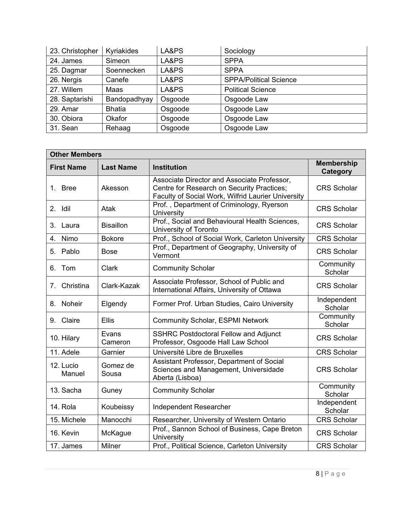| 23. Christopher | Kyriakides    | LA&PS   | Sociology                     |
|-----------------|---------------|---------|-------------------------------|
| 24. James       | Simeon        | LA&PS   | <b>SPPA</b>                   |
| 25. Dagmar      | Soennecken    | LA&PS   | <b>SPPA</b>                   |
| 26. Nergis      | Canefe        | LA&PS   | <b>SPPA/Political Science</b> |
| 27. Willem      | Maas          | LA&PS   | <b>Political Science</b>      |
| 28. Saptarishi  | Bandopadhyay  | Osgoode | Osgoode Law                   |
| 29. Amar        | <b>Bhatia</b> | Osgoode | Osgoode Law                   |
| 30. Obiora      | Okafor        | Osgoode | Osgoode Law                   |
| 31. Sean        | Rehaag        | Osgoode | Osgoode Law                   |

| <b>Other Members</b>                        |                   |                                                                                                                                                 |                               |  |  |
|---------------------------------------------|-------------------|-------------------------------------------------------------------------------------------------------------------------------------------------|-------------------------------|--|--|
| <b>First Name</b>                           | <b>Last Name</b>  | <b>Institution</b>                                                                                                                              | <b>Membership</b><br>Category |  |  |
| 1. Bree                                     | Akesson           | Associate Director and Associate Professor,<br>Centre for Research on Security Practices;<br>Faculty of Social Work, Wilfrid Laurier University | <b>CRS Scholar</b>            |  |  |
| 2. Idil                                     | Atak              | Prof., Department of Criminology, Ryerson<br>University                                                                                         | <b>CRS Scholar</b>            |  |  |
| 3.<br>Laura                                 | <b>Bisaillon</b>  | Prof., Social and Behavioural Health Sciences,<br>University of Toronto                                                                         | <b>CRS Scholar</b>            |  |  |
| Nimo<br>4.                                  | <b>Bokore</b>     | Prof., School of Social Work, Carleton University                                                                                               | <b>CRS Scholar</b>            |  |  |
| 5. Pablo                                    | <b>Bose</b>       | Prof., Department of Geography, University of<br>Vermont                                                                                        | <b>CRS</b> Scholar            |  |  |
| 6. Tom                                      | <b>Clark</b>      | <b>Community Scholar</b>                                                                                                                        | Community<br>Scholar          |  |  |
| Christina<br>$7_{\scriptscriptstyle{\sim}}$ | Clark-Kazak       | Associate Professor, School of Public and<br>International Affairs, University of Ottawa                                                        | <b>CRS Scholar</b>            |  |  |
| Noheir<br>8.                                | Elgendy           | Former Prof. Urban Studies, Cairo University                                                                                                    | Independent<br>Scholar        |  |  |
| 9. Claire                                   | <b>Ellis</b>      | <b>Community Scholar, ESPMI Network</b>                                                                                                         | Community<br>Scholar          |  |  |
| 10. Hilary                                  | Evans<br>Cameron  | <b>SSHRC Postdoctoral Fellow and Adjunct</b><br>Professor, Osgoode Hall Law School                                                              | <b>CRS Scholar</b>            |  |  |
| 11. Adele                                   | Garnier           | Université Libre de Bruxelles                                                                                                                   | <b>CRS Scholar</b>            |  |  |
| 12. Lucio<br>Manuel                         | Gomez de<br>Sousa | Assistant Professor, Department of Social<br>Sciences and Management, Universidade<br>Aberta (Lisboa)                                           | <b>CRS Scholar</b>            |  |  |
| 13. Sacha                                   | Guney             | <b>Community Scholar</b>                                                                                                                        | Community<br>Scholar          |  |  |
| 14. Rola                                    | Koubeissy         | Independent Researcher                                                                                                                          | Independent<br>Scholar        |  |  |
| 15. Michele                                 | Manocchi          | Researcher, University of Western Ontario                                                                                                       | <b>CRS Scholar</b>            |  |  |
| 16. Kevin                                   | McKague           | Prof., Sannon School of Business, Cape Breton<br>University                                                                                     | <b>CRS Scholar</b>            |  |  |
| 17. James                                   | <b>Milner</b>     | Prof., Political Science, Carleton University                                                                                                   | <b>CRS Scholar</b>            |  |  |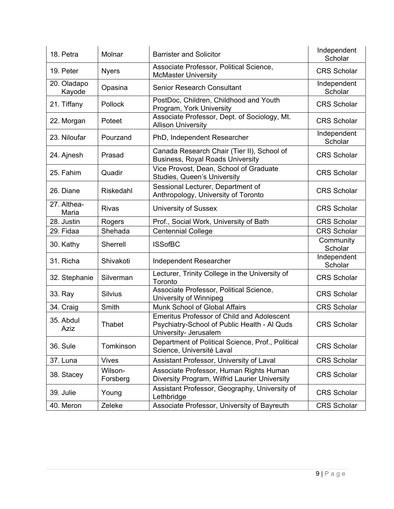| 18. Petra                          | Molnar              | <b>Barrister and Solicitor</b>                                                                                             | Independent<br>Scholar |
|------------------------------------|---------------------|----------------------------------------------------------------------------------------------------------------------------|------------------------|
| 19. Peter                          | <b>Nyers</b>        | Associate Professor, Political Science,<br><b>McMaster University</b>                                                      | <b>CRS Scholar</b>     |
| 20. Oladapo<br>Kayode              | Opasina             | <b>Senior Research Consultant</b>                                                                                          | Independent<br>Scholar |
| 21. Tiffany                        | <b>Pollock</b>      | PostDoc, Children, Childhood and Youth<br>Program, York University                                                         | <b>CRS Scholar</b>     |
| 22. Morgan                         | Poteet              | Associate Professor, Dept. of Sociology, Mt.<br><b>Allison University</b>                                                  | <b>CRS Scholar</b>     |
| 23. Niloufar                       | Pourzand            | PhD, Independent Researcher                                                                                                | Independent<br>Scholar |
| 24. Ajnesh                         | Prasad              | Canada Research Chair (Tier II), School of<br><b>Business, Royal Roads University</b>                                      | <b>CRS Scholar</b>     |
| 25. Fahim                          | Quadir              | Vice Provost, Dean, School of Graduate<br>Studies, Queen's University                                                      | <b>CRS Scholar</b>     |
| 26. Diane                          | Riskedahl           | Sessional Lecturer, Department of<br>Anthropology, University of Toronto                                                   | <b>CRS Scholar</b>     |
| $\overline{27}$ . Althea-<br>Maria | Rivas               | <b>University of Sussex</b>                                                                                                | <b>CRS</b> Scholar     |
| 28. Justin                         | Rogers              | Prof., Social Work, University of Bath                                                                                     | <b>CRS Scholar</b>     |
| 29. Fidaa                          | Shehada             | <b>Centennial College</b>                                                                                                  | <b>CRS Scholar</b>     |
| 30. Kathy                          | Sherrell            | <b>ISSofBC</b>                                                                                                             | Community<br>Scholar   |
| 31. Richa                          | Shivakoti           | Independent Researcher                                                                                                     | Independent<br>Scholar |
| 32. Stephanie                      | Silverman           | Lecturer, Trinity College in the University of<br>Toronto                                                                  | <b>CRS Scholar</b>     |
| 33. Ray                            | <b>Silvius</b>      | Associate Professor, Political Science,<br>University of Winnipeg                                                          | <b>CRS Scholar</b>     |
| 34. Craig                          | Smith               | Munk School of Global Affairs                                                                                              | <b>CRS Scholar</b>     |
| 35. Abdul<br>Aziz                  | Thabet              | <b>Emeritus Professor of Child and Adolescent</b><br>Psychiatry-School of Public Health - Al Quds<br>University- Jerusalem | <b>CRS Scholar</b>     |
| <b>36. Sule</b>                    | Tomkinson           | Department of Political Science, Prof., Political<br>Science, Université Laval                                             | <b>CRS Scholar</b>     |
| 37. Luna                           | <b>Vives</b>        | Assistant Professor, University of Laval                                                                                   | <b>CRS Scholar</b>     |
| 38. Stacey                         | Wilson-<br>Forsberg | Associate Professor, Human Rights Human<br>Diversity Program, Wilfrid Laurier University                                   | <b>CRS Scholar</b>     |
| 39. Julie                          | Young               | Assistant Professor, Geography, University of<br>Lethbridge                                                                | <b>CRS Scholar</b>     |
| 40. Meron                          | Zeleke              | Associate Professor, University of Bayreuth                                                                                | <b>CRS Scholar</b>     |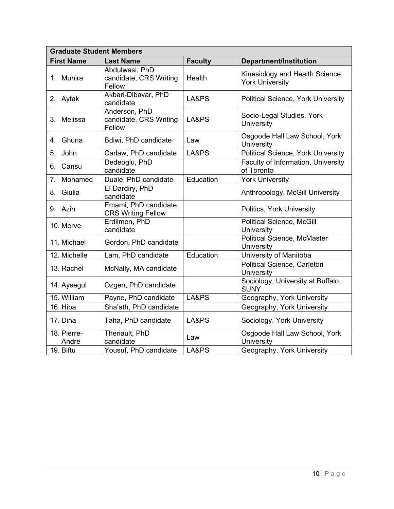| <b>Graduate Student Members</b> |                                                    |                |                                                           |  |  |
|---------------------------------|----------------------------------------------------|----------------|-----------------------------------------------------------|--|--|
| <b>First Name</b>               | <b>Last Name</b>                                   | <b>Faculty</b> | <b>Department/Institution</b>                             |  |  |
| 1. Munira                       | Abdulwasi, PhD<br>candidate, CRS Writing<br>Fellow | Health         | Kinesiology and Health Science,<br><b>York University</b> |  |  |
| 2. Aytak                        | Akbari-Dibavar, PhD<br>candidate                   | LA&PS          | <b>Political Science, York University</b>                 |  |  |
| 3. Melissa                      | Anderson, PhD<br>candidate, CRS Writing<br>Fellow  | LA&PS          | Socio-Legal Studies, York<br><b>University</b>            |  |  |
| 4. Ghuna                        | Bdiwi, PhD candidate                               | Law            | Osgoode Hall Law School, York<br>University               |  |  |
| 5.<br>John                      | Carlaw, PhD candidate                              | LA&PS          | <b>Political Science, York University</b>                 |  |  |
| 6. Cansu                        | Dedeoglu, PhD<br>candidate                         |                | Faculty of Information, University<br>of Toronto          |  |  |
| 7 <sub>1</sub><br>Mohamed       | Duale, PhD candidate                               | Education      | <b>York University</b>                                    |  |  |
| 8. Giulia                       | El Dardiry, PhD<br>candidate                       |                | Anthropology, McGill University                           |  |  |
| 9. Azin                         | Emami, PhD candidate,<br><b>CRS Writing Fellow</b> |                | Politics, York University                                 |  |  |
| 10. Merve                       | Erdilmen, PhD<br>candidate                         |                | <b>Political Science, McGill</b><br>University            |  |  |
| 11. Michael                     | Gordon, PhD candidate                              |                | <b>Political Science, McMaster</b><br>University          |  |  |
| 12. Michelle                    | Lam, PhD candidate                                 | Education      | University of Manitoba                                    |  |  |
| 13. Rachel                      | McNally, MA candidate                              |                | Political Science, Carleton<br>University                 |  |  |
| 14. Aysegul                     | Ozgen, PhD candidate                               |                | Sociology, University at Buffalo,<br><b>SUNY</b>          |  |  |
| 15. William                     | Payne, PhD candidate                               | LA&PS          | Geography, York University                                |  |  |
| 16. Hiba                        | Sha'ath, PhD candidate                             |                | Geography, York University                                |  |  |
| 17. Dina                        | Taha, PhD candidate                                | LA&PS          | Sociology, York University                                |  |  |
| 18. Pierre-<br>Andre            | Theriault, PhD<br>candidate                        | Law            | Osgoode Hall Law School, York<br>University               |  |  |
| 19. Biftu                       | Yousuf, PhD candidate                              | LA&PS          | Geography, York University                                |  |  |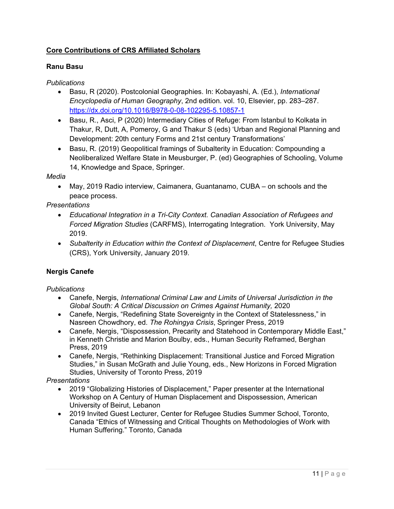# **Core Contributions of CRS Affiliated Scholars**

## **Ranu Basu**

## *Publications*

- Basu, R (2020). Postcolonial Geographies. In: Kobayashi, A. (Ed.), *International Encyclopedia of Human Geography*, 2nd edition. vol. 10, Elsevier, pp. 283–287. https://dx.doi.org/10.1016/B978-0-08-102295-5.10857-1
- Basu, R., Asci, P (2020) Intermediary Cities of Refuge: From Istanbul to Kolkata in Thakur, R, Dutt, A, Pomeroy, G and Thakur S (eds) 'Urban and Regional Planning and Development: 20th century Forms and 21st century Transformations'
- Basu, R. (2019) Geopolitical framings of Subalterity in Education: Compounding a Neoliberalized Welfare State in Meusburger, P. (ed) Geographies of Schooling, Volume 14, Knowledge and Space, Springer.

## *Media*

 May, 2019 Radio interview, Caimanera, Guantanamo, CUBA – on schools and the peace process.

*Presentations* 

- *Educational Integration in a Tri-City Context. Canadian Association of Refugees and Forced Migration Studies* (CARFMS), Interrogating Integration. York University, May 2019.
- *Subalterity in Education within the Context of Displacement*, Centre for Refugee Studies (CRS), York University, January 2019.

## **Nergis Canefe**

#### *Publications*

- Canefe, Nergis, *International Criminal Law and Limits of Universal Jurisdiction in the Global South: A Critical Discussion on Crimes Against Humanity,* 2020
- Canefe, Nergis, "Redefining State Sovereignty in the Context of Statelessness," in Nasreen Chowdhory, ed. *The Rohingya Crisis*, Springer Press, 2019
- Canefe, Nergis, "Dispossession, Precarity and Statehood in Contemporary Middle East," in Kenneth Christie and Marion Boulby, eds., Human Security Reframed, Berghan Press, 2019
- Canefe, Nergis, "Rethinking Displacement: Transitional Justice and Forced Migration Studies," in Susan McGrath and Julie Young, eds., New Horizons in Forced Migration Studies, University of Toronto Press, 2019

- 2019 "Globalizing Histories of Displacement," Paper presenter at the International Workshop on A Century of Human Displacement and Dispossession, American University of Beirut, Lebanon
- 2019 Invited Guest Lecturer, Center for Refugee Studies Summer School, Toronto, Canada "Ethics of Witnessing and Critical Thoughts on Methodologies of Work with Human Suffering." Toronto, Canada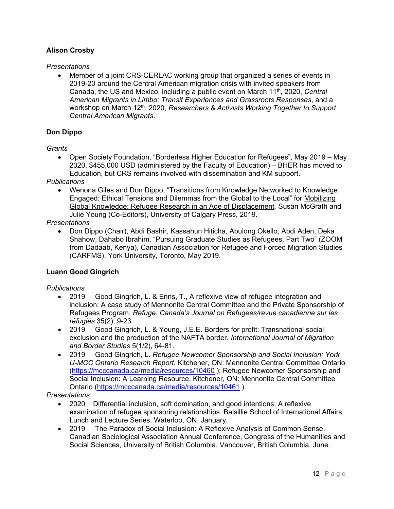## **Alison Crosby**

#### *Presentations*

 Member of a joint CRS-CERLAC working group that organized a series of events in 2019-20 around the Central American migration crisis with invited speakers from Canada, the US and Mexico, including a public event on March 11th, 2020, *Central American Migrants in Limbo: Transit Experiences and Grassroots Responses*, and a workshop on March 12<sup>th</sup>, 2020, *Researchers & Activists Working Together to Support Central American Migrants*.

#### **Don Dippo**

#### *Grants*

 Open Society Foundation, "Borderless Higher Education for Refugees", May 2019 – May 2020, \$455,000 USD (administered by the Faculty of Education) – BHER has moved to Education, but CRS remains involved with dissemination and KM support.

#### *Publications*

 Wenona Giles and Don Dippo, "Transitions from Knowledge Networked to Knowledge Engaged: Ethical Tensions and Dilemmas from the Global to the Local" for Mobilizing Global Knowledge: Refugee Research in an Age of Displacement*.* Susan McGrath and Julie Young (Co-Editors), University of Calgary Press, 2019.

#### *Presentations*

 Don Dippo (Chair), Abdi Bashir, Kassahun Hiticha, Abulong Okello, Abdi Aden, Deka Shahow, Dahabo Ibrahim, "Pursuing Graduate Studies as Refugees, Part Two" (ZOOM from Dadaab, Kenya), Canadian Association for Refugee and Forced Migration Studies (CARFMS), York University, Toronto, May 2019.

#### **Luann Good Gingrich**

#### *Publications*

- 2019 Good Gingrich, L. & Enns, T., A reflexive view of refugee integration and inclusion: A case study of Mennonite Central Committee and the Private Sponsorship of Refugees Program. *Refuge: Canada's Journal on Refugees/revue canadienne sur les réfugiés* 35(2), 9-23.
- 2019 Good Gingrich, L. & Young, J.E.E. Borders for profit: Transnational social exclusion and the production of the NAFTA border. *International Journal of Migration and Border Studies* 5(1/2), 64-81.
- 2019 Good Gingrich, L. *Refugee Newcomer Sponsorship and Social Inclusion: York U-MCC Ontario Research Report*. Kitchener, ON: Mennonite Central Committee Ontario (https://mcccanada.ca/media/resources/10460 ); Refugee Newcomer Sponsorship and Social Inclusion: A Learning Resource. Kitchener, ON: Mennonite Central Committee Ontario (https://mcccanada.ca/media/resources/10461 ).

- 2020 Differential inclusion, soft domination, and good intentions: A reflexive examination of refugee sponsoring relationships. Balsillie School of International Affairs, Lunch and Lecture Series. Waterloo, ON. January.
- 2019 The Paradox of Social Inclusion: A Reflexive Analysis of Common Sense. Canadian Sociological Association Annual Conference, Congress of the Humanities and Social Sciences, University of British Columbia, Vancouver, British Columbia. June.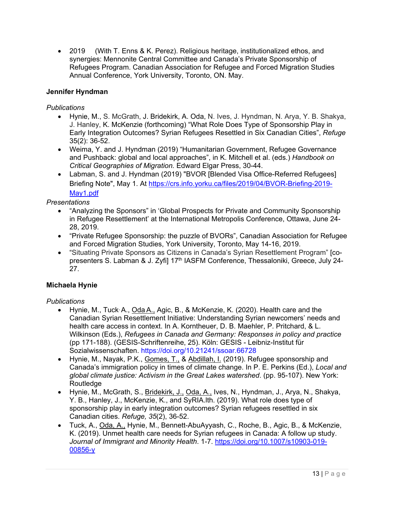2019 (With T. Enns & K. Perez). Religious heritage, institutionalized ethos, and synergies: Mennonite Central Committee and Canada's Private Sponsorship of Refugees Program. Canadian Association for Refugee and Forced Migration Studies Annual Conference, York University, Toronto, ON. May.

## **Jennifer Hyndman**

#### *Publications*

- Hynie, M., S. McGrath, J. Bridekirk, A. Oda, N. Ives, J. Hyndman, N. Arya, Y. B. Shakya, J. Hanley, K. McKenzie (forthcoming) "What Role Does Type of Sponsorship Play in Early Integration Outcomes? Syrian Refugees Resettled in Six Canadian Cities", *Refuge* 35(2): 36-52.
- Weima, Y. and J. Hyndman (2019) "Humanitarian Government, Refugee Governance and Pushback: global and local approaches", in K. Mitchell et al. (eds.) *Handbook on Critical Geographies of Migration.* Edward Elgar Press, 30-44.
- Labman, S. and J. Hyndman (2019) "BVOR [Blended Visa Office-Referred Refugees] Briefing Note", May 1. At https://crs.info.yorku.ca/files/2019/04/BVOR-Briefing-2019- May1.pdf

#### *Presentations*

- "Analyzing the Sponsors" in 'Global Prospects for Private and Community Sponsorship in Refugee Resettlement' at the International Metropolis Conference, Ottawa, June 24- 28, 2019.
- "Private Refugee Sponsorship: the puzzle of BVORs", Canadian Association for Refugee and Forced Migration Studies, York University, Toronto, May 14-16, 2019.
- "Situating Private Sponsors as Citizens in Canada's Syrian Resettlement Program" [copresenters S. Labman & J. Zyfi] 17<sup>th</sup> IASFM Conference, Thessaloniki, Greece, July 24-27.

## **Michaela Hynie**

#### *Publications*

- Hynie, M., Tuck, A., Oda A., Agic, B., & McKenzie, K. (2020). Health care and the Canadian Syrian Resettlement Initiative: Understanding Syrian newcomers' needs and health care access in context. In A. Korntheuer, D. B. Maehler, P. Pritchard, & L. Wilkinson (Eds.), *Refugees in Canada and Germany: Responses in policy and practice*  (pp 171-188). (GESIS-Schriftenreihe, 25). Köln: GESIS - Leibniz-Institut für Sozialwissenschaften. https://doi.org/10.21241/ssoar.66728
- Hynie, M., Nayak, P.K., Gomes, T., & Abdillah, I. (2019). Refugee sponsorship and Canada's immigration policy in times of climate change. In P. E. Perkins (Ed.), *Local and global climate justice: Activism in the Great Lakes watershed*. (pp. 95-107). New York: **Routledge**
- Hynie, M., McGrath, S., Bridekirk, J., Oda, A., Ives, N., Hyndman, J., Arya, N., Shakya, Y. B., Hanley, J., McKenzie, K., and SyRIA.lth. (2019). What role does type of sponsorship play in early integration outcomes? Syrian refugees resettled in six Canadian cities. *Refuge, 35*(2), 36-52.
- Tuck, A., Oda, A., Hynie, M., Bennett-AbuAyyash, C., Roche, B., Agic, B., & McKenzie, K. (2019). Unmet health care needs for Syrian refugees in Canada: A follow up study. *Journal of Immigrant and Minority Health*. 1-7. https://doi.org/10.1007/s10903-019- 00856-y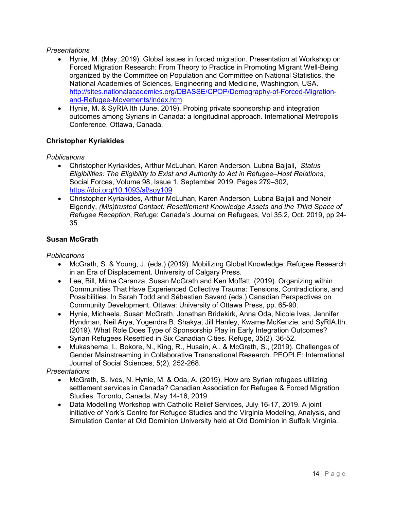#### *Presentations*

- Hynie, M. (May, 2019). Global issues in forced migration. Presentation at Workshop on Forced Migration Research: From Theory to Practice in Promoting Migrant Well-Being organized by the Committee on Population and Committee on National Statistics, the National Academies of Sciences, Engineering and Medicine, Washington, USA. http://sites.nationalacademies.org/DBASSE/CPOP/Demography-of-Forced-Migrationand-Refugee-Movements/index.htm
- Hynie, M**.** & SyRIA.lth (June, 2019). Probing private sponsorship and integration outcomes among Syrians in Canada: a longitudinal approach. International Metropolis Conference, Ottawa, Canada.

## **Christopher Kyriakides**

#### *Publications*

- Christopher Kyriakides, Arthur McLuhan, Karen Anderson, Lubna Bajjali, *Status Eligibilities: The Eligibility to Exist and Authority to Act in Refugee–Host Relations*, Social Forces, Volume 98, Issue 1, September 2019, Pages 279–302, https://doi.org/10.1093/sf/soy109
- Christopher Kyriakides, Arthur McLuhan, Karen Anderson, Lubna Bajjali and Noheir Elgendy, *(Mis)trusted Contact: Resettlement Knowledge Assets and the Third Space of Refugee Reception*, Refuge: Canada's Journal on Refugees, Vol 35.2, Oct. 2019, pp 24- 35

#### **Susan McGrath**

#### *Publications*

- McGrath, S. & Young, J. (eds.) (2019). Mobilizing Global Knowledge: Refugee Research in an Era of Displacement. University of Calgary Press.
- Lee, Bill, Mirna Caranza, Susan McGrath and Ken Moffatt. (2019). Organizing within Communities That Have Experienced Collective Trauma: Tensions, Contradictions, and Possibilities. In Sarah Todd and Sébastien Savard (eds.) Canadian Perspectives on Community Development. Ottawa: University of Ottawa Press, pp. 65-90.
- Hynie, Michaela, Susan McGrath, Jonathan Bridekirk, Anna Oda, Nicole Ives, Jennifer Hyndman, Neil Arya, Yogendra B. Shakya, Jill Hanley, Kwame McKenzie, and SyRIA.lth. (2019). What Role Does Type of Sponsorship Play in Early Integration Outcomes? Syrian Refugees Resettled in Six Canadian Cities. Refuge, 35(2), 36-52.
- Mukashema, I., Bokore, N., King, R., Husain, A., & McGrath, S., (2019). Challenges of Gender Mainstreaming in Collaborative Transnational Research. PEOPLE: International Journal of Social Sciences, 5(2), 252-268.

- McGrath, S. Ives, N. Hynie, M. & Oda, A. (2019). How are Syrian refugees utilizing settlement services in Canada? Canadian Association for Refugee & Forced Migration Studies. Toronto, Canada, May 14-16, 2019.
- Data Modelling Workshop with Catholic Relief Services, July 16-17, 2019. A joint initiative of York's Centre for Refugee Studies and the Virginia Modeling, Analysis, and Simulation Center at Old Dominion University held at Old Dominion in Suffolk Virginia.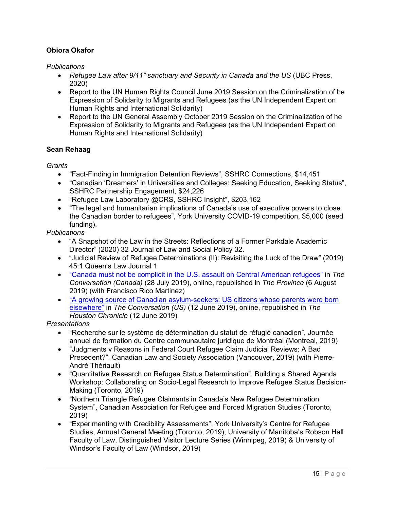## **Obiora Okafor**

*Publications* 

- *Refugee Law after 9/11" sanctuary and Security in Canada and the US* (UBC Press, 2020)
- Report to the UN Human Rights Council June 2019 Session on the Criminalization of he Expression of Solidarity to Migrants and Refugees (as the UN Independent Expert on Human Rights and International Solidarity)
- Report to the UN General Assembly October 2019 Session on the Criminalization of he Expression of Solidarity to Migrants and Refugees (as the UN Independent Expert on Human Rights and International Solidarity)

#### **Sean Rehaag**

*Grants* 

- "Fact-Finding in Immigration Detention Reviews", SSHRC Connections, \$14,451
- "Canadian 'Dreamers' in Universities and Colleges: Seeking Education, Seeking Status", SSHRC Partnership Engagement, \$24,226
- "Refugee Law Laboratory @CRS, SSHRC Insight", \$203,162
- "The legal and humanitarian implications of Canada's use of executive powers to close the Canadian border to refugees", York University COVID-19 competition, \$5,000 (seed funding).

*Publications* 

- "A Snapshot of the Law in the Streets: Reflections of a Former Parkdale Academic Director" (2020) 32 Journal of Law and Social Policy 32.
- "Judicial Review of Refugee Determinations (II): Revisiting the Luck of the Draw" (2019) 45:1 Queen's Law Journal 1
- "Canada must not be complicit in the U.S. assault on Central American refugees" in *The Conversation (Canada)* (28 July 2019), online, republished in *The Province* (6 August 2019) (with Francisco Rico Martinez)
- "A growing source of Canadian asylum-seekers: US citizens whose parents were born elsewhere" in *The Conversation (US)* (12 June 2019), online, republished in *The Houston Chronicle* (12 June 2019)

- "Recherche sur le système de détermination du statut de réfugié canadien", Journée annuel de formation du Centre communautaire juridique de Montréal (Montreal, 2019)
- "Judgments v Reasons in Federal Court Refugee Claim Judicial Reviews: A Bad Precedent?", Canadian Law and Society Association (Vancouver, 2019) (with Pierre-André Thériault)
- "Quantitative Research on Refugee Status Determination", Building a Shared Agenda Workshop: Collaborating on Socio-Legal Research to Improve Refugee Status Decision-Making (Toronto, 2019)
- "Northern Triangle Refugee Claimants in Canada's New Refugee Determination System", Canadian Association for Refugee and Forced Migration Studies (Toronto, 2019)
- "Experimenting with Credibility Assessments", York University's Centre for Refugee Studies, Annual General Meeting (Toronto, 2019), University of Manitoba's Robson Hall Faculty of Law, Distinguished Visitor Lecture Series (Winnipeg, 2019) & University of Windsor's Faculty of Law (Windsor, 2019)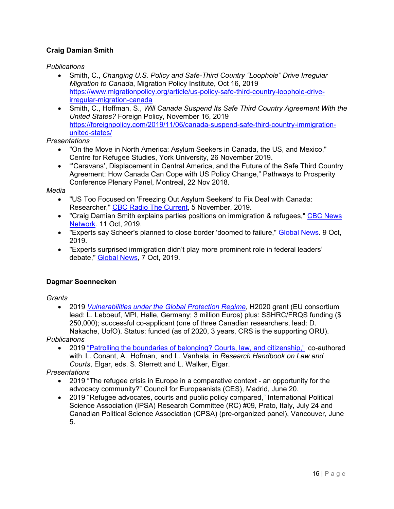# **Craig Damian Smith**

*Publications* 

- Smith, C., *Changing U.S. Policy and Safe-Third Country "Loophole" Drive Irregular Migration to Canada*, Migration Policy Institute, Oct 16, 2019 https://www.migrationpolicy.org/article/us-policy-safe-third-country-loophole-driveirregular-migration-canada
- Smith, C., Hoffman, S., *Will Canada Suspend Its Safe Third Country Agreement With the United States?* Foreign Policy, November 16, 2019 https://foreignpolicy.com/2019/11/06/canada-suspend-safe-third-country-immigrationunited-states/

*Presentations* 

- "On the Move in North America: Asylum Seekers in Canada, the US, and Mexico," Centre for Refugee Studies, York University, 26 November 2019.
- "'Caravans', Displacement in Central America, and the Future of the Safe Third Country Agreement: How Canada Can Cope with US Policy Change," Pathways to Prosperity Conference Plenary Panel, Montreal, 22 Nov 2018.

*Media* 

- "US Too Focused on 'Freezing Out Asylum Seekers' to Fix Deal with Canada: Researcher," CBC Radio The Current, 5 November, 2019.
- "Craig Damian Smith explains parties positions on immigration & refugees," CBC News Network. 11 Oct, 2019.
- "Experts say Scheer's planned to close border 'doomed to failure," Global News. 9 Oct, 2019.
- "Experts surprised immigration didn't play more prominent role in federal leaders' debate," Global News, 7 Oct, 2019.

## **Dagmar Soennecken**

*Grants* 

 2019 *Vulnerabilities under the Global Protection Regime*, H2020 grant (EU consortium lead: L. Leboeuf, MPI, Halle, Germany; 3 million Euros) plus: SSHRC/FRQS funding (\$ 250,000); successful co-applicant (one of three Canadian researchers, lead: D. Nakache, UofO). Status: funded (as of 2020, 3 years, CRS is the supporting ORU).

*Publications* 

 2019 "Patrolling the boundaries of belonging? Courts, law, and citizenship," co-authored with L. Conant, A. Hofman, and L. Vanhala, in *Research Handbook on Law and Courts*, Elgar, eds. S. Sterrett and L. Walker, Elgar.

- 2019 "The refugee crisis in Europe in a comparative context an opportunity for the advocacy community?" Council for Europeanists (CES), Madrid, June 20.
- 2019 "Refugee advocates, courts and public policy compared," International Political Science Association (IPSA) Research Committee (RC) #09, Prato, Italy, July 24 and Canadian Political Science Association (CPSA) (pre-organized panel), Vancouver, June 5.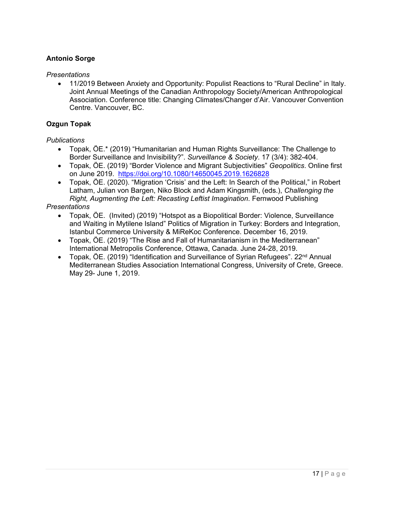## **Antonio Sorge**

#### *Presentations*

 11/2019 Between Anxiety and Opportunity: Populist Reactions to "Rural Decline" in Italy. Joint Annual Meetings of the Canadian Anthropology Society/American Anthropological Association. Conference title: Changing Climates/Changer d'Air. Vancouver Convention Centre. Vancouver, BC.

#### **Ozgun Topak**

#### *Publications*

- Topak, ÖE.\* (2019) "Humanitarian and Human Rights Surveillance: The Challenge to Border Surveillance and Invisibility?". *Surveillance & Society*. 17 (3/4): 382-404.
- Topak, ÖE. (2019) "Border Violence and Migrant Subjectivities" *Geopolitics*. Online first on June 2019. https://doi.org/10.1080/14650045.2019.1626828
- Topak, ÖE. (2020). "Migration 'Crisis' and the Left: In Search of the Political," in Robert Latham, Julian von Bargen, Niko Block and Adam Kingsmith, (eds.), *Challenging the Right, Augmenting the Left: Recasting Leftist Imagination*. Fernwood Publishing

- Topak, ÖE. (Invited) (2019) "Hotspot as a Biopolitical Border: Violence, Surveillance and Waiting in Mytilene Island" Politics of Migration in Turkey: Borders and Integration, Istanbul Commerce University & MiReKoc Conference. December 16, 2019.
- Topak, ÖE. (2019) "The Rise and Fall of Humanitarianism in the Mediterranean" International Metropolis Conference, Ottawa, Canada. June 24-28, 2019.
- Topak, ÖE. (2019) "Identification and Surveillance of Syrian Refugees".  $22<sup>nd</sup>$  Annual Mediterranean Studies Association International Congress, University of Crete, Greece. May 29- June 1, 2019.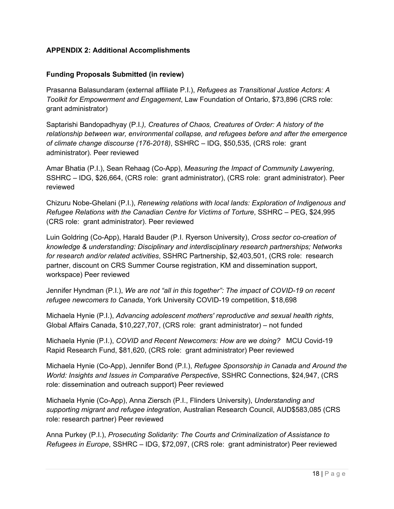## **APPENDIX 2: Additional Accomplishments**

#### **Funding Proposals Submitted (in review)**

Prasanna Balasundaram (external affiliate P.I.), *Refugees as Transitional Justice Actors: A Toolkit for Empowerment and Engagement*, Law Foundation of Ontario, \$73,896 (CRS role: grant administrator)

Saptarishi Bandopadhyay (P.I.*), Creatures of Chaos, Creatures of Order: A history of the relationship between war, environmental collapse, and refugees before and after the emergence of climate change discourse (176-2018)*, SSHRC – IDG, \$50,535, (CRS role: grant administrator). Peer reviewed

Amar Bhatia (P.I.), Sean Rehaag (Co-App), *Measuring the Impact of Community Lawyering*, SSHRC – IDG, \$26,664, (CRS role: grant administrator), (CRS role: grant administrator). Peer reviewed

Chizuru Nobe-Ghelani (P.I.), *Renewing relations with local lands: Exploration of Indigenous and Refugee Relations with the Canadian Centre for Victims of Torture*, SSHRC – PEG, \$24,995 (CRS role: grant administrator). Peer reviewed

Luin Goldring (Co-App), Harald Bauder (P.I. Ryerson University), *Cross sector co-creation of knowledge & understanding: Disciplinary and interdisciplinary research partnerships; Networks for research and/or related activities*, SSHRC Partnership, \$2,403,501, (CRS role: research partner, discount on CRS Summer Course registration, KM and dissemination support, workspace) Peer reviewed

Jennifer Hyndman (P.I.), *We are not "all in this together": The impact of COVID-19 on recent refugee newcomers to Canada*, York University COVID-19 competition, \$18,698

Michaela Hynie (P.I.), *Advancing adolescent mothers' reproductive and sexual health rights*, Global Affairs Canada, \$10,227,707, (CRS role: grant administrator) – not funded

Michaela Hynie (P.I.), *COVID and Recent Newcomers: How are we doing?* MCU Covid-19 Rapid Research Fund, \$81,620, (CRS role: grant administrator) Peer reviewed

Michaela Hynie (Co-App), Jennifer Bond (P.I.), *Refugee Sponsorship in Canada and Around the World: Insights and Issues in Comparative Perspective*, SSHRC Connections, \$24,947, (CRS role: dissemination and outreach support) Peer reviewed

Michaela Hynie (Co-App), Anna Ziersch (P.I., Flinders University), *Understanding and supporting migrant and refugee integration*, Australian Research Council, AUD\$583,085 (CRS role: research partner) Peer reviewed

Anna Purkey (P.I.), *Prosecuting Solidarity: The Courts and Criminalization of Assistance to Refugees in Europe*, SSHRC – IDG, \$72,097, (CRS role: grant administrator) Peer reviewed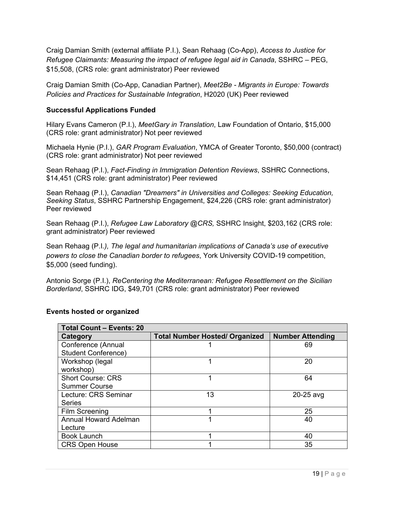Craig Damian Smith (external affiliate P.I.), Sean Rehaag (Co-App), *Access to Justice for Refugee Claimants: Measuring the impact of refugee legal aid in Canada*, SSHRC – PEG, \$15,508, (CRS role: grant administrator) Peer reviewed

Craig Damian Smith (Co-App, Canadian Partner), *Meet2Be - Migrants in Europe: Towards Policies and Practices for Sustainable Integration*, H2020 (UK) Peer reviewed

#### **Successful Applications Funded**

Hilary Evans Cameron (P.I.), *MeetGary in Translation*, Law Foundation of Ontario, \$15,000 (CRS role: grant administrator) Not peer reviewed

Michaela Hynie (P.I.), *GAR Program Evaluation*, YMCA of Greater Toronto, \$50,000 (contract) (CRS role: grant administrator) Not peer reviewed

Sean Rehaag (P.I.), *Fact-Finding in Immigration Detention Reviews*, SSHRC Connections, \$14,451 (CRS role: grant administrator) Peer reviewed

Sean Rehaag (P.I.), *Canadian "Dreamers" in Universities and Colleges: Seeking Education, Seeking Status*, SSHRC Partnership Engagement, \$24,226 (CRS role: grant administrator) Peer reviewed

Sean Rehaag (P.I.), *Refugee Law Laboratory @CRS,* SSHRC Insight, \$203,162 (CRS role: grant administrator) Peer reviewed

Sean Rehaag (P.I*.), The legal and humanitarian implications of Canada's use of executive powers to close the Canadian border to refugees*, York University COVID-19 competition, \$5,000 (seed funding).

Antonio Sorge (P.I.), *ReCentering the Mediterranean: Refugee Resettlement on the Sicilian Borderland*, SSHRC IDG, \$49,701 (CRS role: grant administrator) Peer reviewed

| <b>Total Count - Events: 20</b> |                                       |                         |  |  |  |
|---------------------------------|---------------------------------------|-------------------------|--|--|--|
| <b>Category</b>                 | <b>Total Number Hosted/ Organized</b> | <b>Number Attending</b> |  |  |  |
| Conference (Annual              |                                       | 69                      |  |  |  |
| <b>Student Conference)</b>      |                                       |                         |  |  |  |
| Workshop (legal                 |                                       | 20                      |  |  |  |
| workshop)                       |                                       |                         |  |  |  |
| <b>Short Course: CRS</b>        |                                       | 64                      |  |  |  |
| <b>Summer Course</b>            |                                       |                         |  |  |  |
| Lecture: CRS Seminar            | 13                                    | $20-25$ avg             |  |  |  |
| <b>Series</b>                   |                                       |                         |  |  |  |
| <b>Film Screening</b>           |                                       | 25                      |  |  |  |
| <b>Annual Howard Adelman</b>    |                                       | 40                      |  |  |  |
| Lecture                         |                                       |                         |  |  |  |
| <b>Book Launch</b>              |                                       | 40                      |  |  |  |
| <b>CRS Open House</b>           |                                       | 35                      |  |  |  |

#### **Events hosted or organized**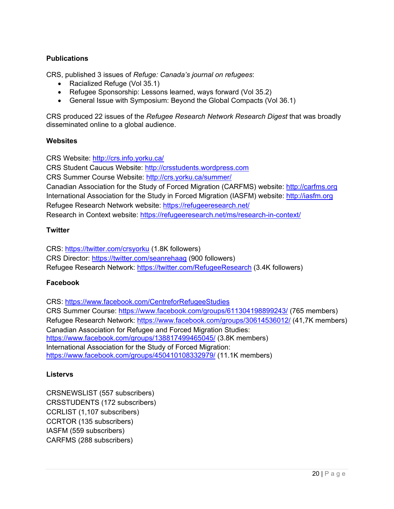## **Publications**

CRS, published 3 issues of *Refuge: Canada's journal on refugees*:

- Racialized Refuge (Vol 35.1)
- Refugee Sponsorship: Lessons learned, ways forward (Vol 35.2)
- General Issue with Symposium: Beyond the Global Compacts (Vol 36.1)

CRS produced 22 issues of the *Refugee Research Network Research Digest* that was broadly disseminated online to a global audience.

#### **Websites**

CRS Website: http://crs.info.yorku.ca/

CRS Student Caucus Website: http://crsstudents.wordpress.com

CRS Summer Course Website: http://crs.yorku.ca/summer/

Canadian Association for the Study of Forced Migration (CARFMS) website: http://carfms.org International Association for the Study in Forced Migration (IASFM) website: http://iasfm.org Refugee Research Network website: https://refugeeresearch.net/ Research in Context website: https://refugeeresearch.net/ms/research-in-context/

#### **Twitter**

CRS: https://twitter.com/crsyorku (1.8K followers) CRS Director: https://twitter.com/seanrehaag (900 followers) Refugee Research Network: https://twitter.com/RefugeeResearch (3.4K followers)

#### **Facebook**

CRS: https://www.facebook.com/CentreforRefugeeStudies CRS Summer Course: https://www.facebook.com/groups/611304198899243/ (765 members) Refugee Research Network: https://www.facebook.com/groups/30614536012/ (41,7K members) Canadian Association for Refugee and Forced Migration Studies: https://www.facebook.com/groups/138817499465045/ (3.8K members) International Association for the Study of Forced Migration: https://www.facebook.com/groups/450410108332979/ (11.1K members)

#### **Listervs**

CRSNEWSLIST (557 subscribers) CRSSTUDENTS (172 subscribers) CCRLIST (1,107 subscribers) CCRTOR (135 subscribers) IASFM (559 subscribers) CARFMS (288 subscribers)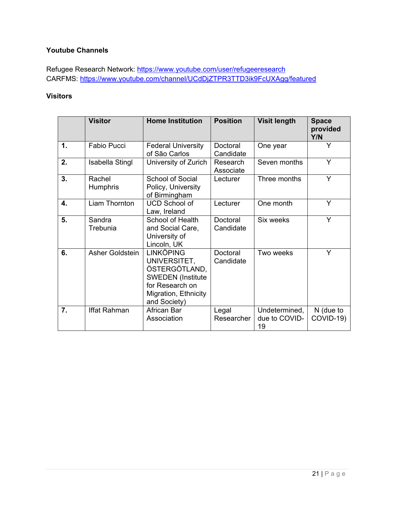## **Youtube Channels**

Refugee Research Network: https://www.youtube.com/user/refugeeresearch CARFMS: https://www.youtube.com/channel/UCdDjZTPR3TTD3ik9FcUXAgg/featured

## **Visitors**

|    | <b>Visitor</b>         | <b>Home Institution</b>                                                                                                                  | <b>Position</b>       | <b>Visit length</b>                  | <b>Space</b><br>provided<br>Y/N |
|----|------------------------|------------------------------------------------------------------------------------------------------------------------------------------|-----------------------|--------------------------------------|---------------------------------|
| 1. | <b>Fabio Pucci</b>     | <b>Federal University</b><br>of São Carlos                                                                                               | Doctoral<br>Candidate | One year                             | Y                               |
| 2. | <b>Isabella Stingl</b> | University of Zurich                                                                                                                     | Research<br>Associate | Seven months                         | Y                               |
| 3. | Rachel<br>Humphris     | School of Social<br>Policy, University<br>of Birmingham                                                                                  | Lecturer              | Three months                         | Y                               |
| 4. | Liam Thornton          | <b>UCD School of</b><br>Law, Ireland                                                                                                     | Lecturer              | One month                            | Y                               |
| 5. | Sandra<br>Trebunia     | School of Health<br>and Social Care,<br>University of<br>Lincoln, UK                                                                     | Doctoral<br>Candidate | Six weeks                            | Y                               |
| 6. | Asher Goldstein        | <b>LINKÖPING</b><br>UNIVERSITET,<br>ÖSTERGÖTLAND,<br><b>SWEDEN</b> (Institute<br>for Research on<br>Migration, Ethnicity<br>and Society) | Doctoral<br>Candidate | Two weeks                            | Y                               |
| 7. | Iffat Rahman           | African Bar<br>Association                                                                                                               | Legal<br>Researcher   | Undetermined,<br>due to COVID-<br>19 | N (due to<br>COVID-19)          |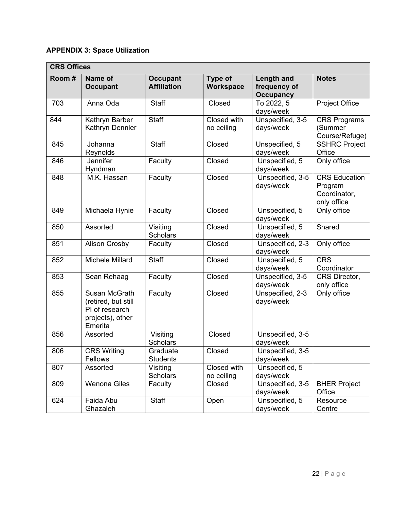# **APPENDIX 3: Space Utilization**

| <b>CRS Offices</b> |                                                                                       |                                       |                             |                                                |                                                                |  |  |
|--------------------|---------------------------------------------------------------------------------------|---------------------------------------|-----------------------------|------------------------------------------------|----------------------------------------------------------------|--|--|
| Room#              | Name of<br><b>Occupant</b>                                                            | <b>Occupant</b><br><b>Affiliation</b> | Type of<br><b>Workspace</b> | Length and<br>frequency of<br><b>Occupancy</b> | <b>Notes</b>                                                   |  |  |
| 703                | Anna Oda                                                                              | <b>Staff</b>                          | Closed                      | To 2022, 5<br>days/week                        | <b>Project Office</b>                                          |  |  |
| 844                | Kathryn Barber<br>Kathryn Dennler                                                     | Staff                                 | Closed with<br>no ceiling   | Unspecified, 3-5<br>days/week                  | <b>CRS Programs</b><br>(Summer<br>Course/Refuge)               |  |  |
| 845                | Johanna<br>Reynolds                                                                   | <b>Staff</b>                          | Closed                      | Unspecified, 5<br>days/week                    | <b>SSHRC Project</b><br>Office                                 |  |  |
| 846                | Jennifer<br>Hyndman                                                                   | Faculty                               | Closed                      | Unspecified, 5<br>days/week                    | Only office                                                    |  |  |
| 848                | M.K. Hassan                                                                           | Faculty                               | Closed                      | Unspecified, 3-5<br>days/week                  | <b>CRS</b> Education<br>Program<br>Coordinator,<br>only office |  |  |
| 849                | Michaela Hynie                                                                        | Faculty                               | Closed                      | Unspecified, 5<br>days/week                    | Only office                                                    |  |  |
| 850                | Assorted                                                                              | Visiting<br><b>Scholars</b>           | Closed                      | Unspecified, 5<br>days/week                    | Shared                                                         |  |  |
| 851                | <b>Alison Crosby</b>                                                                  | Faculty                               | Closed                      | Unspecified, 2-3<br>days/week                  | Only office                                                    |  |  |
| 852                | <b>Michele Millard</b>                                                                | <b>Staff</b>                          | Closed                      | Unspecified, 5<br>days/week                    | <b>CRS</b><br>Coordinator                                      |  |  |
| 853                | Sean Rehaag                                                                           | Faculty                               | Closed                      | Unspecified, 3-5<br>days/week                  | CRS Director,<br>only office                                   |  |  |
| 855                | Susan McGrath<br>(retired, but still<br>PI of research<br>projects), other<br>Emerita | Faculty                               | Closed                      | Unspecified, 2-3<br>days/week                  | Only office                                                    |  |  |
| 856                | Assorted                                                                              | Visiting<br><b>Scholars</b>           | Closed                      | Unspecified, 3-5<br>days/week                  |                                                                |  |  |
| 806                | <b>CRS Writing</b><br><b>Fellows</b>                                                  | Graduate<br><b>Students</b>           | Closed                      | Unspecified, 3-5<br>days/week                  |                                                                |  |  |
| 807                | Assorted                                                                              | Visiting<br><b>Scholars</b>           | Closed with<br>no ceiling   | Unspecified, 5<br>days/week                    |                                                                |  |  |
| 809                | <b>Wenona Giles</b>                                                                   | Faculty                               | Closed                      | Unspecified, 3-5<br>days/week                  | <b>BHER Project</b><br>Office                                  |  |  |
| 624                | Faida Abu<br>Ghazaleh                                                                 | Staff                                 | Open                        | Unspecified, 5<br>days/week                    | Resource<br>Centre                                             |  |  |